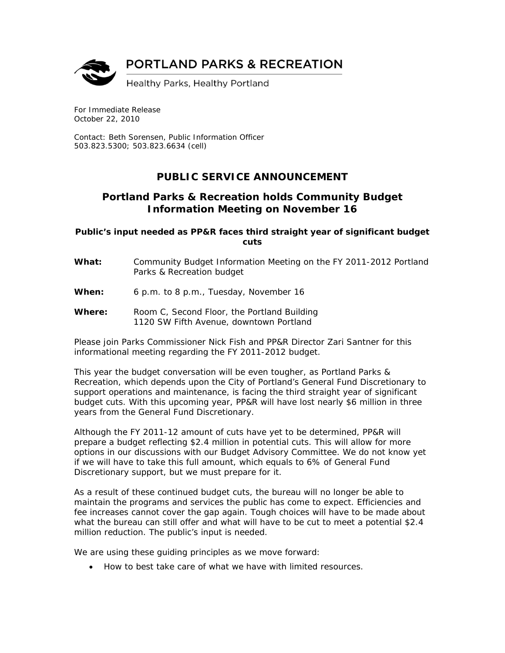

For Immediate Release October 22, 2010

Contact: Beth Sorensen, Public Information Officer 503.823.5300; 503.823.6634 (cell)

## **PUBLIC SERVICE ANNOUNCEMENT**

## **Portland Parks & Recreation holds Community Budget Information Meeting on November 16**

**Public's input needed as PP&R faces third straight year of significant budget cuts** 

- **What:** Community Budget Information Meeting on the FY 2011-2012 Portland Parks & Recreation budget
- **When:** 6 p.m. to 8 p.m., Tuesday, November 16
- **Where:** Room C, Second Floor, the Portland Building 1120 SW Fifth Avenue, downtown Portland

Please join Parks Commissioner Nick Fish and PP&R Director Zari Santner for this informational meeting regarding the FY 2011-2012 budget.

This year the budget conversation will be even tougher, as Portland Parks & Recreation, which depends upon the City of Portland's General Fund Discretionary to support operations and maintenance, is facing the third straight year of significant budget cuts. With this upcoming year, PP&R will have lost nearly \$6 million in three years from the General Fund Discretionary.

Although the FY 2011-12 amount of cuts have yet to be determined, PP&R will prepare a budget reflecting \$2.4 million in potential cuts. This will allow for more options in our discussions with our Budget Advisory Committee. We do not know yet if we will have to take this full amount, which equals to 6% of General Fund Discretionary support, but we must prepare for it.

As a result of these continued budget cuts, the bureau will no longer be able to maintain the programs and services the public has come to expect. Efficiencies and fee increases cannot cover the gap again. Tough choices will have to be made about what the bureau can still offer and what will have to be cut to meet a potential \$2.4 million reduction. The public's input is needed.

We are using these guiding principles as we move forward:

• How to best take care of what we have with limited resources.